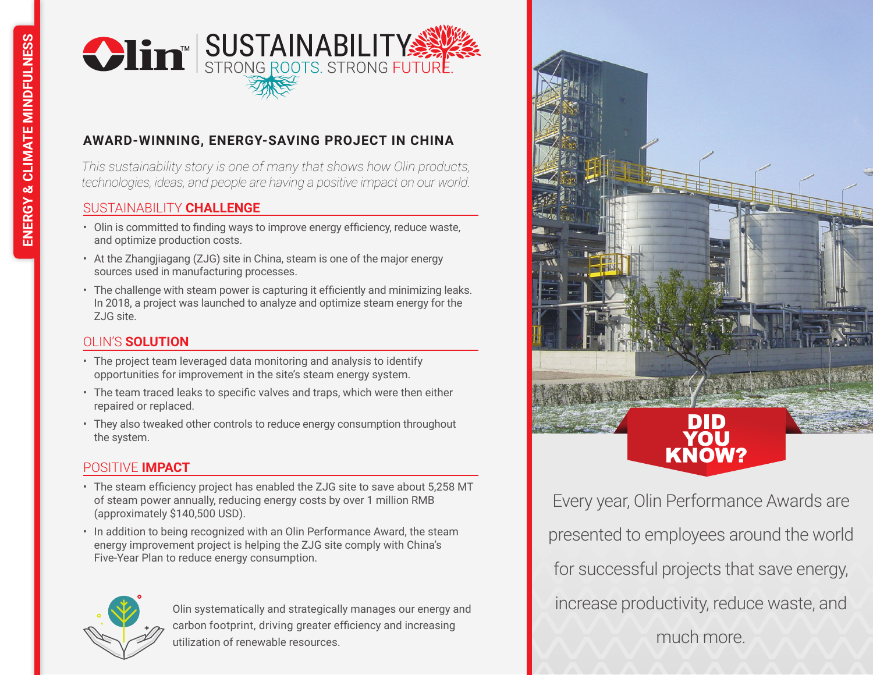

# **AWARD-WINNING, ENERGY-SAVING PROJECT IN CHINA**

*This sustainability story is one of many that shows how Olin products, technologies, ideas, and people are having a positive impact on our world.*

#### SUSTAINABILITY **CHALLENGE**

- Olin is committed to finding ways to improve energy efficiency, reduce waste, and optimize production costs.
- At the Zhangjiagang (ZJG) site in China, steam is one of the major energy sources used in manufacturing processes.
- The challenge with steam power is capturing it efficiently and minimizing leaks. In 2018, a project was launched to analyze and optimize steam energy for the ZJG site.

## OLIN'S **SOLUTION**

- The project team leveraged data monitoring and analysis to identify opportunities for improvement in the site's steam energy system.
- The team traced leaks to specific valves and traps, which were then either repaired or replaced.
- They also tweaked other controls to reduce energy consumption throughout the system.

## POSITIVE **IMPACT**

- The steam efficiency project has enabled the ZJG site to save about 5,258 MT of steam power annually, reducing energy costs by over 1 million RMB (approximately \$140,500 USD).
- In addition to being recognized with an Olin Performance Award, the steam energy improvement project is helping the ZJG site comply with China's Five-Year Plan to reduce energy consumption.



Olin systematically and strategically manages our energy and carbon footprint, driving greater efficiency and increasing utilization of renewable resources.



Every year, Olin Performance Awards are presented to employees around the world for successful projects that save energy, increase productivity, reduce waste, and much more.